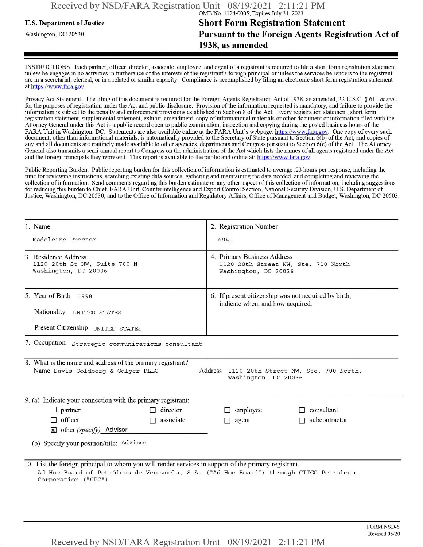## **u.s. Department of Justice Short Form Registration Statement** Washington, dc <sup>20530</sup>**Pursuant to the Foreign Agents Registration Act of 1938, as amended**

INSTRUCTIONS. Each partner, officer, director, associate, employee, and agent of a registrant is required to file a short form registration statement unless he engages in no activities in furtherance ofthe interests ofthe registrant's foreign principal or unless the services he renders to the registrant are in a secretarial, clerical, or in a related or similar capacity. Compliance is accomplished by filing an electronic short form registration statement at https://www.fara.gov.

Privacy Act Statement. The filing of this document is required for the Foreign Agents Registration Act of 1938, as amended, 22 U.S.C. § 611 et seq., for the purposes ofregistration under the Act and public disclosure. Provision ofthe information requested is mandatory, and failure to provide the information is subject to the penalty and enforcement provisions established in Section 8 of the Act. Every registration statement, short form registration statement, supplemental statement, exhibit, amendment, copy ofinformational materials or other document or information filed with the Attorney General under this Act is a public record open to public examination, inspection and copying during the posted business hours ofthe FARA Unit in Washington, DC. Statements are also available online at the FARA Unit's webpage: https://www.fara.gov. One copy of every such document, other than informational materials, is automatically provided to the Secretary of State pursuant to Section 6(b) of the Act, and copies of any and all documents are routinely made available to other agencies, departments and Congress pursuant to Section 6(c) ofthe Act. The Attorney General also transmits a semi-annual report to Congress on the administration ofthe Act which lists the names of all agents registered under the Act and the foreign principals they represent. This report is available to the public and online at: https://www.fara.gov.

Public Reporting Burden. Public reporting burden for this collection ofinformation is estimated to average .23 hours per response, including the time for reviewing instructions, searching existing data sources, gathering and maintaining the data needed, and completing and reviewing the collection of information. Send comments regarding this burden estimate or any other aspect of this collection of information, including suggestions for reducing this burden to Chief, FARA Unit, Counterintelligence and Export Control Section, National Security Division, U.S. Department of Justice, Washington, DC 20530; and to the Office of Information and Regulatory Affairs, Office of Management and Budget, Washington, DC 20503.

| 1. Name                                                                                                                                                                                                               | 2. Registration Number                                                                     |  |  |  |  |
|-----------------------------------------------------------------------------------------------------------------------------------------------------------------------------------------------------------------------|--------------------------------------------------------------------------------------------|--|--|--|--|
| Madeleine Proctor                                                                                                                                                                                                     | 6949                                                                                       |  |  |  |  |
| 3. Residence Address<br>1120 20th St NW, Suite 700 N<br>Washington, DC 20036                                                                                                                                          | 4. Primary Business Address<br>1120 20th Street NW, Ste. 700 North<br>Washington, DC 20036 |  |  |  |  |
| 5. Year of Birth 1998                                                                                                                                                                                                 | 6. If present citizenship was not acquired by birth,<br>indicate when, and how acquired.   |  |  |  |  |
| Nationality UNITED STATES                                                                                                                                                                                             |                                                                                            |  |  |  |  |
| Present Citizenship UNITED STATES                                                                                                                                                                                     |                                                                                            |  |  |  |  |
| 7. Occupation strategic communications consultant                                                                                                                                                                     |                                                                                            |  |  |  |  |
| 8. What is the name and address of the primary registrant?<br>Name Davis Goldberg & Galper PLLC<br>Address 1120 20th Street NW, Ste. 700 North,<br>Washington, DC 20036                                               |                                                                                            |  |  |  |  |
| $\overline{9}$ . (a) Indicate your connection with the primary registrant:                                                                                                                                            |                                                                                            |  |  |  |  |
| director<br>$\Box$ partner<br>П.                                                                                                                                                                                      | consultant<br>employee                                                                     |  |  |  |  |
| $\Box$ officer<br>associate<br>П                                                                                                                                                                                      | subcontractor<br>agent                                                                     |  |  |  |  |
| $\mathbf{\times}$ other (specify) Advisor                                                                                                                                                                             |                                                                                            |  |  |  |  |
| (b) Specify your position/title: Advisor                                                                                                                                                                              |                                                                                            |  |  |  |  |
| 10. List the foreign principal to whom you will render services in support of the primary registrant.<br>Ad Hoc Board of Petróleos de Venezuela, S.A. ("Ad Hoc Board") through CITGO Petroleum<br>Corporation ("CPC") |                                                                                            |  |  |  |  |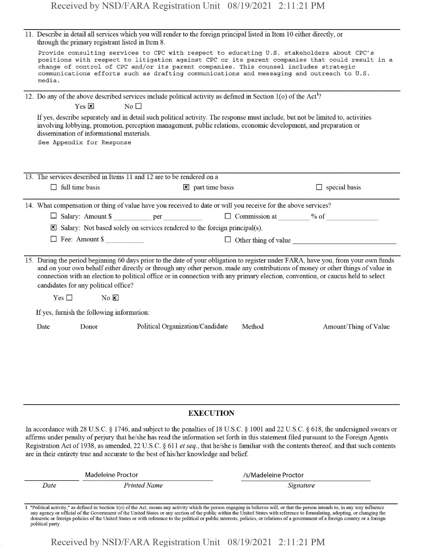| 11. Describe in detail all services which you will render to the foreign principal listed in Item 10 either directly, or<br>through the primary registrant listed in Item 8. |                                                                                                                                                                                                                                                                                                                                                                                                                                                   |  |  |  |  |
|------------------------------------------------------------------------------------------------------------------------------------------------------------------------------|---------------------------------------------------------------------------------------------------------------------------------------------------------------------------------------------------------------------------------------------------------------------------------------------------------------------------------------------------------------------------------------------------------------------------------------------------|--|--|--|--|
|                                                                                                                                                                              | Provide consulting services to CPC with respect to educating U.S. stakeholders about CPC's<br>positions with respect to litigation against CPC or its parent companies that could result in a<br>change of control of CPC and/or its parent companies. This counsel includes strategic<br>communications efforts such as drafting communications and messaging and outreach to U.S.<br>media.                                                     |  |  |  |  |
|                                                                                                                                                                              | 12. Do any of the above described services include political activity as defined in Section 1(o) of the Act <sup>1</sup> ?<br>Yes $\overline{\mathbf{x}}$<br>No <sub>1</sub>                                                                                                                                                                                                                                                                      |  |  |  |  |
|                                                                                                                                                                              | If yes, describe separately and in detail such political activity. The response must include, but not be limited to, activities<br>involving lobbying, promotion, perception management, public relations, economic development, and preparation or<br>dissemination of informational materials.                                                                                                                                                  |  |  |  |  |
|                                                                                                                                                                              | See Appendix for Response                                                                                                                                                                                                                                                                                                                                                                                                                         |  |  |  |  |
|                                                                                                                                                                              | 13. The services described in Items 11 and 12 are to be rendered on a                                                                                                                                                                                                                                                                                                                                                                             |  |  |  |  |
|                                                                                                                                                                              | $\Box$ full time basis<br>$\Box$ special basis<br>$\mathbf{\times}$ part time basis                                                                                                                                                                                                                                                                                                                                                               |  |  |  |  |
|                                                                                                                                                                              | 14. What compensation or thing of value have you received to date or will you receive for the above services?                                                                                                                                                                                                                                                                                                                                     |  |  |  |  |
|                                                                                                                                                                              |                                                                                                                                                                                                                                                                                                                                                                                                                                                   |  |  |  |  |
| $\boxtimes$ Salary: Not based solely on services rendered to the foreign principal(s).                                                                                       |                                                                                                                                                                                                                                                                                                                                                                                                                                                   |  |  |  |  |
|                                                                                                                                                                              | $\Box$ Fee: Amount \$<br>$\Box$ Other thing of value $\Box$<br>the property of the control of the                                                                                                                                                                                                                                                                                                                                                 |  |  |  |  |
|                                                                                                                                                                              | 15. During the period beginning 60 days prior to the date of your obligation to register under FARA, have you, from your own funds<br>and on your own behalf either directly or through any other person, made any contributions of money or other things of value in<br>connection with an election to political office or in connection with any primary election, convention, or caucus held to select<br>candidates for any political office? |  |  |  |  |
|                                                                                                                                                                              | Yes $\square$<br>$No$ $\times$                                                                                                                                                                                                                                                                                                                                                                                                                    |  |  |  |  |
| If yes, furnish the following information:                                                                                                                                   |                                                                                                                                                                                                                                                                                                                                                                                                                                                   |  |  |  |  |
|                                                                                                                                                                              | Political Organization/Candidate<br>Date<br>Donor<br>Method<br>Amount/Thing of Value                                                                                                                                                                                                                                                                                                                                                              |  |  |  |  |
|                                                                                                                                                                              |                                                                                                                                                                                                                                                                                                                                                                                                                                                   |  |  |  |  |
|                                                                                                                                                                              |                                                                                                                                                                                                                                                                                                                                                                                                                                                   |  |  |  |  |

#### **EXECUTION**

In accordance with 28 U.S.C. § 1746, and subject to the penalties of 18 U.S.C. § 1001 and 22 U.S.C. § 618, the undersigned swears or affirms under penalty of perjury that he/she has read the information set forth in this statement filed pursuant to the Foreign Agents Registration Act of 1938, as amended, 22 U.S.C. § 611 *etseq.,* that he/she is familiar with the contents thereof, and that such contents are in their entirety true and accurate to the best of his/her knowledge and belief.

| Madeleine Proctor |                     | /s/Madeleine Proctor |  |
|-------------------|---------------------|----------------------|--|
| Date              | <b>Printed Name</b> | Signature            |  |
|                   |                     |                      |  |

1 "Political activity," as defined in Section 1(o) of the Act, means any activity which the person engaging in believes will, or that the person intends to, in any way influence any agency or official of the Government of domestic or foreign policies of the United States or with reference to the political or public interests, policies, or relations of a government of a foreign country or a foreign political party.

Received by NSD/FARA Registration Unit 08/19/2021 2:11:21 PM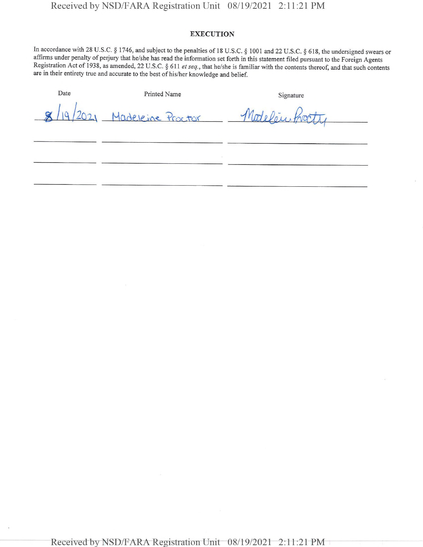### **EXECUTION**

In accordance with 28 U.S.C. § 1746, and subject to the penalties of 18 U.S.C. § 1001 and 22 U.S.C. § 618, the undersigned swears or affirms under penalty of perjury that he/she has read the information set forth in this statement filed pursuant to the Foreign Agents Registration Act of 1938, as amended, 22 U.S.C. § 611 *et seq.,* that he/she is familiar with the contents thereof, and that such contents are in their entirety true and accurate to the best ofhis/her knowledge and belief.

| Date            | Printed Name             | Signature       |
|-----------------|--------------------------|-----------------|
| $\alpha$<br>19' | (2021 Madeleine Proctor) | Modelou, Pront. |
|                 |                          |                 |
|                 |                          |                 |